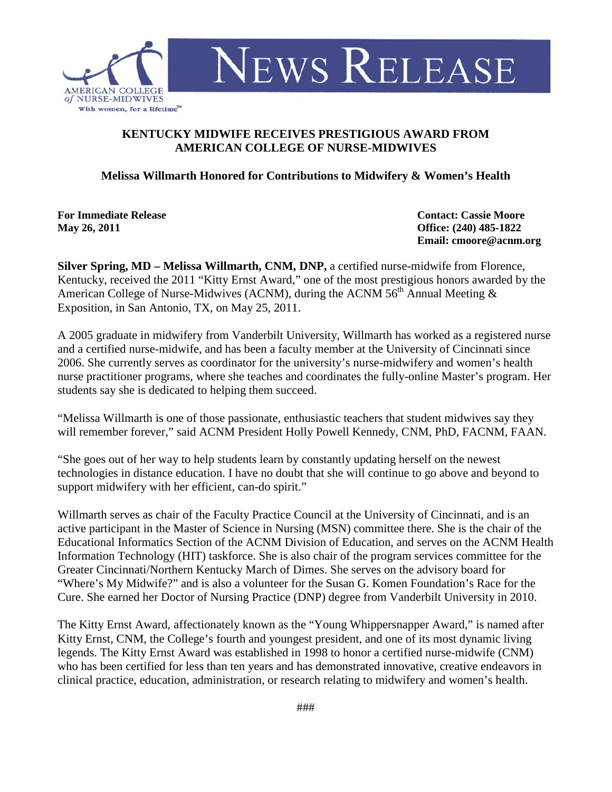

## **KENTUCKY MIDWIFE RECEIVES PRESTIGIOUS AWARD FROM AMERICAN COLLEGE OF NURSE-MIDWIVES**

**Melissa Willmarth Honored for Contributions to Midwifery & Women's Health**

**For Immediate Release Contact: Cassie Moore May 26, 2011 Office: (240) 485-1822**

**Email: cmoore@acnm.org** 

**Silver Spring, MD – Melissa Willmarth, CNM, DNP,** a certified nurse-midwife from Florence, Kentucky, received the 2011 "Kitty Ernst Award," one of the most prestigious honors awarded by the American College of Nurse-Midwives (ACNM), during the ACNM  $56<sup>th</sup>$  Annual Meeting & Exposition, in San Antonio, TX, on May 25, 2011.

A 2005 graduate in midwifery from Vanderbilt University, Willmarth has worked as a registered nurse and a certified nurse-midwife, and has been a faculty member at the University of Cincinnati since 2006. She currently serves as coordinator for the university's nurse-midwifery and women's health nurse practitioner programs, where she teaches and coordinates the fully-online Master's program. Her students say she is dedicated to helping them succeed.

"Melissa Willmarth is one of those passionate, enthusiastic teachers that student midwives say they will remember forever," said ACNM President Holly Powell Kennedy, CNM, PhD, FACNM, FAAN.

"She goes out of her way to help students learn by constantly updating herself on the newest technologies in distance education. I have no doubt that she will continue to go above and beyond to support midwifery with her efficient, can-do spirit."

Willmarth serves as chair of the Faculty Practice Council at the University of Cincinnati, and is an active participant in the Master of Science in Nursing (MSN) committee there. She is the chair of the Educational Informatics Section of the ACNM Division of Education, and serves on the ACNM Health Information Technology (HIT) taskforce. She is also chair of the program services committee for the Greater Cincinnati/Northern Kentucky March of Dimes. She serves on the advisory board for "Where's My Midwife?" and is also a volunteer for the Susan G. Komen Foundation's Race for the Cure. She earned her Doctor of Nursing Practice (DNP) degree from Vanderbilt University in 2010.

The Kitty Ernst Award, affectionately known as the "Young Whippersnapper Award," is named after Kitty Ernst, CNM, the College's fourth and youngest president, and one of its most dynamic living legends. The Kitty Ernst Award was established in 1998 to honor a certified nurse-midwife (CNM) who has been certified for less than ten years and has demonstrated innovative, creative endeavors in clinical practice, education, administration, or research relating to midwifery and women's health.